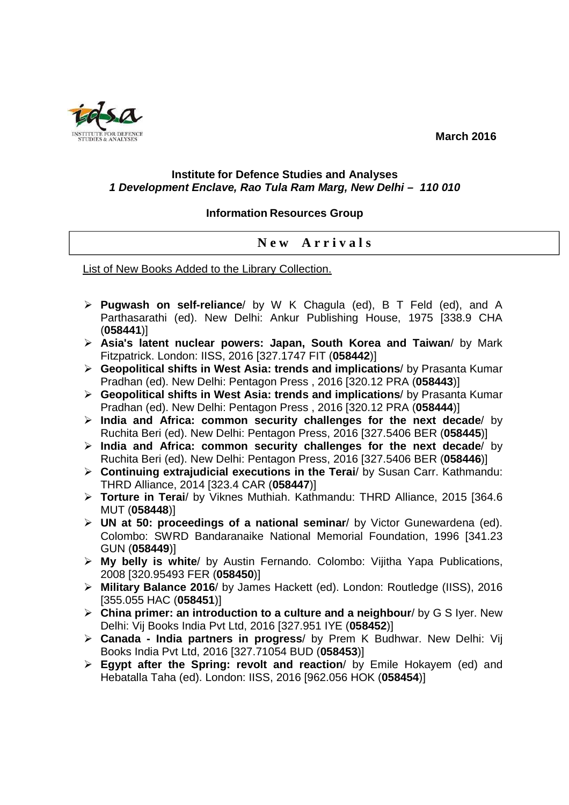**March 2016** 



## **Institute for Defence Studies and Analyses 1 Development Enclave, Rao Tula Ram Marg, New Delhi – 110 010**

## **Information Resources Group**

## **N e w A r r i v a l s**

List of New Books Added to the Library Collection.

- **Pugwash on self-reliance**/ by W K Chagula (ed), B T Feld (ed), and A Parthasarathi (ed). New Delhi: Ankur Publishing House, 1975 [338.9 CHA (**058441**)]
- **Asia's latent nuclear powers: Japan, South Korea and Taiwan**/ by Mark Fitzpatrick. London: IISS, 2016 [327.1747 FIT (**058442**)]
- **Geopolitical shifts in West Asia: trends and implications**/ by Prasanta Kumar Pradhan (ed). New Delhi: Pentagon Press , 2016 [320.12 PRA (**058443**)]
- **Geopolitical shifts in West Asia: trends and implications**/ by Prasanta Kumar Pradhan (ed). New Delhi: Pentagon Press , 2016 [320.12 PRA (**058444**)]
- **India and Africa: common security challenges for the next decade**/ by Ruchita Beri (ed). New Delhi: Pentagon Press, 2016 [327.5406 BER (**058445**)]
- **India and Africa: common security challenges for the next decade**/ by Ruchita Beri (ed). New Delhi: Pentagon Press, 2016 [327.5406 BER (**058446**)]
- **Continuing extrajudicial executions in the Terai**/ by Susan Carr. Kathmandu: THRD Alliance, 2014 [323.4 CAR (**058447**)]
- **Torture in Terai**/ by Viknes Muthiah. Kathmandu: THRD Alliance, 2015 [364.6 MUT (**058448**)]
- **UN at 50: proceedings of a national seminar**/ by Victor Gunewardena (ed). Colombo: SWRD Bandaranaike National Memorial Foundation, 1996 [341.23 GUN (**058449**)]
- **My belly is white**/ by Austin Fernando. Colombo: Vijitha Yapa Publications, 2008 [320.95493 FER (**058450**)]
- **Military Balance 2016**/ by James Hackett (ed). London: Routledge (IISS), 2016 [355.055 HAC (**058451**)]
- **China primer: an introduction to a culture and a neighbour**/ by G S Iyer. New Delhi: Vij Books India Pvt Ltd, 2016 [327.951 IYE (**058452**)]
- **Canada India partners in progress**/ by Prem K Budhwar. New Delhi: Vij Books India Pvt Ltd, 2016 [327.71054 BUD (**058453**)]
- **Egypt after the Spring: revolt and reaction**/ by Emile Hokayem (ed) and Hebatalla Taha (ed). London: IISS, 2016 [962.056 HOK (**058454**)]